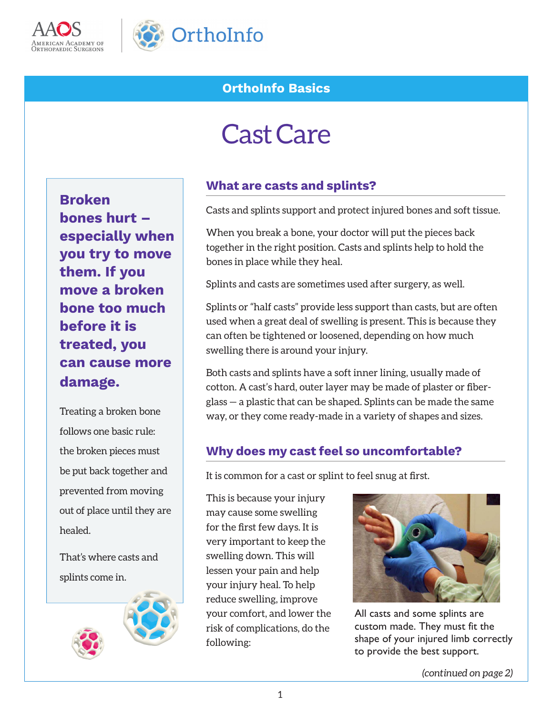



# **OrthoInfo Basics**

# Cast Care

**Broken bones hurt – especially when you try to move them. If you move a broken bone too much before it is treated, you can cause more damage.** 

Treating a broken bone follows one basic rule: the broken pieces must be put back together and prevented from moving out of place until they are healed.

That's where casts and splints come in.



#### **What are casts and splints?**

Casts and splints support and protect injured bones and soft tissue.

When you break a bone, your doctor will put the pieces back together in the right position. Casts and splints help to hold the bones in place while they heal.

Splints and casts are sometimes used after surgery, as well.

Splints or "half casts" provide less support than casts, but are often used when a great deal of swelling is present. This is because they can often be tightened or loosened, depending on how much swelling there is around your injury.

Both casts and splints have a soft inner lining, usually made of cotton. A cast's hard, outer layer may be made of plaster or fiberglass — a plastic that can be shaped. Splints can be made the same way, or they come ready-made in a variety of shapes and sizes.

#### **Why does my cast feel so uncomfortable?**

It is common for a cast or splint to feel snug at first.

This is because your injury may cause some swelling for the first few days. It is very important to keep the swelling down. This will lessen your pain and help your injury heal. To help reduce swelling, improve your comfort, and lower the risk of complications, do the following:



All casts and some splints are custom made. They must fit the shape of your injured limb correctly to provide the best support.

*(continued on page 2)*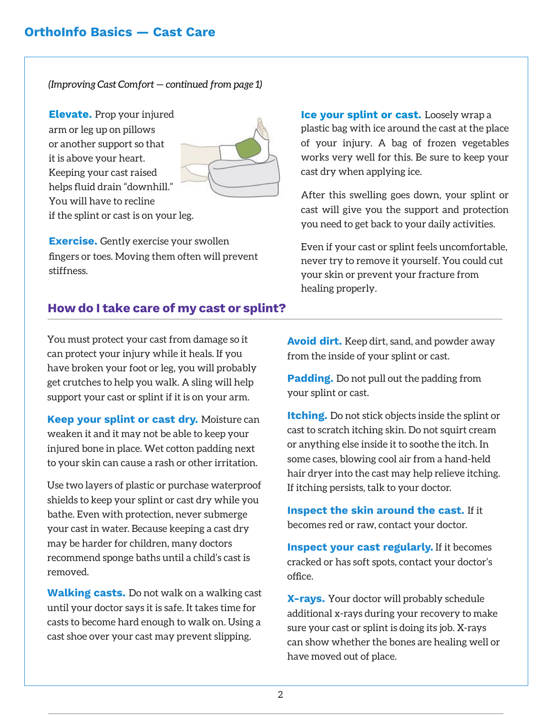*(Improving Cast Comfort — continued from page 1)*

**Elevate.** Prop your injured arm or leg up on pillows or another support so that it is above your heart. Keeping your cast raised helps fluid drain "downhill." You will have to recline if the splint or cast is on your leg.



**Exercise.** Gently exercise your swollen fingers or toes. Moving them often will prevent stiffness.

**How do I take care of my cast or splint?**

You must protect your cast from damage so it can protect your injury while it heals. If you have broken your foot or leg, you will probably get crutches to help you walk. A sling will help support your cast or splint if it is on your arm.

**Keep your splint or cast dry.** Moisture can weaken it and it may not be able to keep your injured bone in place. Wet cotton padding next to your skin can cause a rash or other irritation.

Use two layers of plastic or purchase waterproof shields to keep your splint or cast dry while you bathe. Even with protection, never submerge your cast in water. Because keeping a cast dry may be harder for children, many doctors recommend sponge baths until a child's cast is removed.

**Walking casts.** Do not walk on a walking cast until your doctor says it is safe. It takes time for casts to become hard enough to walk on. Using a cast shoe over your cast may prevent slipping.

**Ice your splint or cast.** Loosely wrap a plastic bag with ice around the cast at the place of your injury. A bag of frozen vegetables works very well for this. Be sure to keep your cast dry when applying ice.

After this swelling goes down, your splint or cast will give you the support and protection you need to get back to your daily activities.

Even if your cast or splint feels uncomfortable, never try to remove it yourself. You could cut your skin or prevent your fracture from healing properly.

**Avoid dirt.** Keep dirt, sand, and powder away from the inside of your splint or cast.

**Padding.** Do not pull out the padding from your splint or cast.

**Itching.** Do not stick objects inside the splint or cast to scratch itching skin. Do not squirt cream or anything else inside it to soothe the itch. In some cases, blowing cool air from a hand-held hair dryer into the cast may help relieve itching. If itching persists, talk to your doctor.

**Inspect the skin around the cast.** If it becomes red or raw, contact your doctor.

**Inspect your cast regularly.** If it becomes cracked or has soft spots, contact your doctor's office.

**X-rays.** Your doctor will probably schedule additional x-rays during your recovery to make sure your cast or splint is doing its job. X-rays can show whether the bones are healing well or have moved out of place.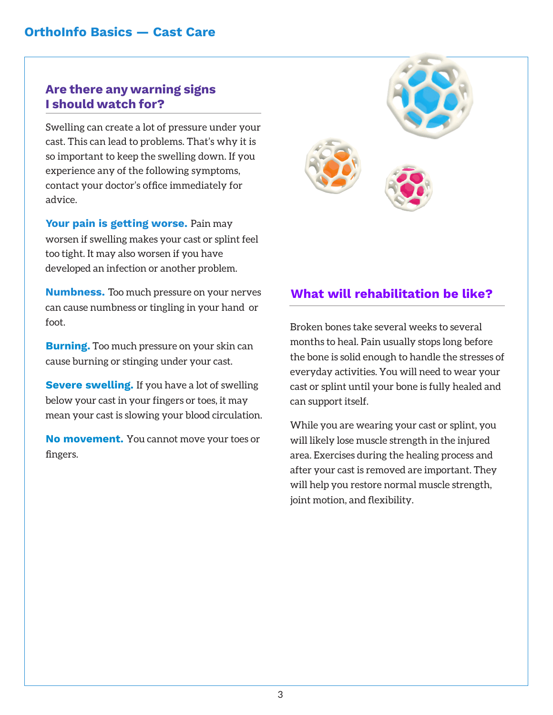### **Are there any warning signs I should watch for?**

Swelling can create a lot of pressure under your cast. This can lead to problems. That's why it is so important to keep the swelling down. If you experience any of the following symptoms, contact your doctor's office immediately for advice.

**Your pain is getting worse.** Pain may worsen if swelling makes your cast or splint feel too tight. It may also worsen if you have developed an infection or another problem.

**Numbness.** Too much pressure on your nerves can cause numbness or tingling in your hand or foot.

**Burning.** Too much pressure on your skin can cause burning or stinging under your cast.

**Severe swelling.** If you have a lot of swelling below your cast in your fingers or toes, it may mean your cast is slowing your blood circulation.

**No movement.** You cannot move your toes or fingers.



# **What will rehabilitation be like?**

Broken bones take several weeks to several months to heal. Pain usually stops long before the bone is solid enough to handle the stresses of everyday activities. You will need to wear your cast or splint until your bone is fully healed and can support itself.

While you are wearing your cast or splint, you will likely lose muscle strength in the injured area. Exercises during the healing process and after your cast is removed are important. They will help you restore normal muscle strength, joint motion, and flexibility.